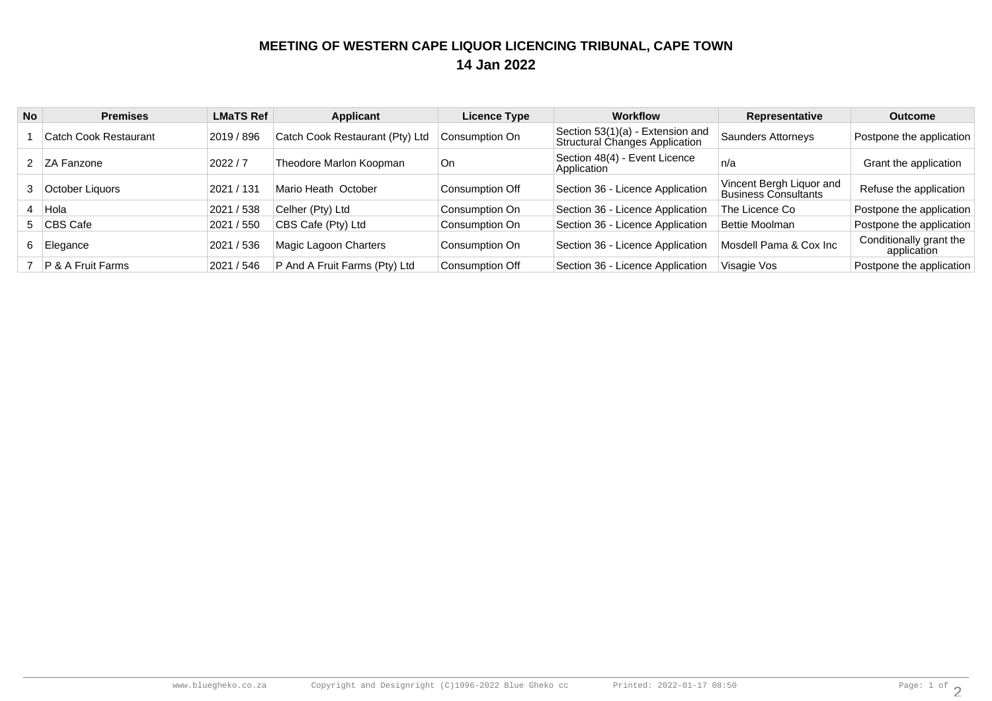## **MEETING OF WESTERN CAPE LIQUOR LICENCING TRIBUNAL, CAPE TOWN14 Jan 2022**

| <b>No</b>      | <b>Premises</b>              | <b>LMaTS Ref</b> | Applicant                       | Licence Type    | <b>Workflow</b>                                                    | Representative                                   | <b>Outcome</b>                         |
|----------------|------------------------------|------------------|---------------------------------|-----------------|--------------------------------------------------------------------|--------------------------------------------------|----------------------------------------|
|                | Catch Cook Restaurant        | 2019 / 896       | Catch Cook Restaurant (Pty) Ltd | Consumption On  | Section 53(1)(a) - Extension and<br>Structural Changes Application | Saunders Attorneys                               | Postpone the application               |
|                | 2 ZA Fanzone                 | 2022/7           | Theodore Marlon Koopman         | l On            | Section 48(4) - Event Licence<br>Application                       | n/a                                              | Grant the application                  |
| 3 <sup>1</sup> | October Liguors              | 2021 / 131       | Mario Heath October             | Consumption Off | Section 36 - Licence Application                                   | Vincent Bergh Liquor and<br>Business Consultants | Refuse the application                 |
|                | 4 Hola                       | 2021 / 538       | Celher (Pty) Ltd                | Consumption On  | Section 36 - Licence Application                                   | The Licence Co                                   | Postpone the application               |
|                | 5 CBS Cafe                   | 2021 / 550       | CBS Cafe (Pty) Ltd              | Consumption On  | Section 36 - Licence Application                                   | Bettie Moolman                                   | Postpone the application               |
|                | Elegance                     | 2021 / 536       | Magic Lagoon Charters           | Consumption On  | Section 36 - Licence Application                                   | Mosdell Pama & Cox Inc                           | Conditionally grant the<br>application |
|                | <b>P &amp; A Fruit Farms</b> | 2021 / 546       | P And A Fruit Farms (Pty) Ltd   | Consumption Off | Section 36 - Licence Application                                   | Visagie Vos                                      | Postpone the application               |